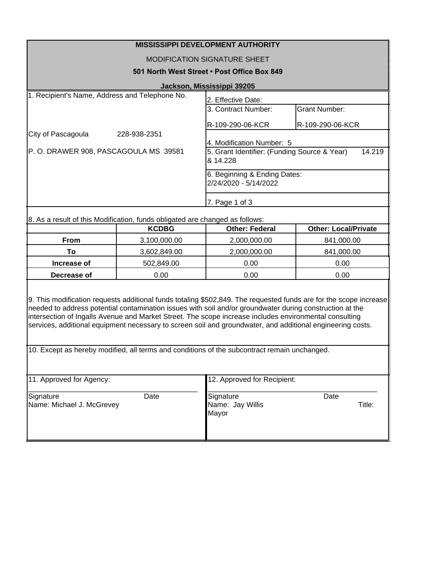| <b>MISSISSIPPI DEVELOPMENT AUTHORITY</b>                                     |                                                                    |                      |  |  |
|------------------------------------------------------------------------------|--------------------------------------------------------------------|----------------------|--|--|
| MODIFICATION SIGNATURE SHEET                                                 |                                                                    |                      |  |  |
| 501 North West Street • Post Office Box 849                                  |                                                                    |                      |  |  |
| Jackson, Mississippi 39205                                                   |                                                                    |                      |  |  |
| 1. Recipient's Name, Address and Telephone No.<br>2. Effective Date:         |                                                                    |                      |  |  |
|                                                                              | 3. Contract Number:                                                | <b>Grant Number:</b> |  |  |
|                                                                              | R-109-290-06-KCR                                                   | R-109-290-06-KCR     |  |  |
| City of Pascagoula<br>228-938-2351                                           |                                                                    |                      |  |  |
|                                                                              | l4. Modification Number: 5                                         |                      |  |  |
| P.O. DRAWER 908, PASCAGOULA MS 39581                                         | 14.219<br>5. Grant Identifier: (Funding Source & Year)<br>& 14.228 |                      |  |  |
|                                                                              | 6. Beginning & Ending Dates:<br>2/24/2020 - 5/14/2022              |                      |  |  |
|                                                                              |                                                                    |                      |  |  |
|                                                                              | 7. Page 1 of 3                                                     |                      |  |  |
| 8. As a result of this Modification, funds obligated are changed as follows: |                                                                    |                      |  |  |
| KCDRG                                                                        | Other: Federal                                                     | Other: Local/Private |  |  |

|             | <b>KCDBG</b> | <b>Other: Federal</b> | <b>Other: Local/Private</b> |
|-------------|--------------|-----------------------|-----------------------------|
| <b>From</b> | 3,100,000.00 | 2,000,000.00          | 841,000.00                  |
| To:         | 3,602,849.00 | 2,000,000.00          | 841,000.00                  |
| Increase of | 502.849.00   | 0.00                  | 0.00                        |
| Decrease of | 0.00         | 0.00                  | 0.00                        |
|             |              |                       |                             |

9. This modification requests additional funds totaling \$502,849. The requested funds are for the scope increase needed to address potential contamination issues with soil and/or groundwater during construction at the intersection of Ingalls Avenue and Market Street. The scope increase includes environmental consulting services, additional equipment necessary to screen soil and groundwater, and additional engineering costs.

10. Except as hereby modified, all terms and conditions of the subcontract remain unchanged.

| 11. Approved for Agency:               |      | 12. Approved for Recipient:                     |                |  |
|----------------------------------------|------|-------------------------------------------------|----------------|--|
| Signature<br>Name: Michael J. McGrevey | Date | Signature<br>Name: Jay Willis<br><b>I</b> Mayor | Date<br>Title: |  |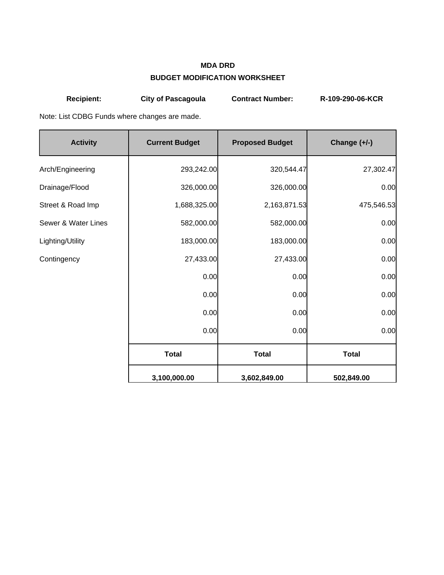## **MDA DRD BUDGET MODIFICATION WORKSHEET**

| <b>Recipient:</b>                             | <b>City of Pascagoula</b> | <b>Contract Number:</b> | R-109-290-06-KCR |  |  |  |  |
|-----------------------------------------------|---------------------------|-------------------------|------------------|--|--|--|--|
| Note: List CDBG Funds where changes are made. |                           |                         |                  |  |  |  |  |
| <b>Activity</b>                               | <b>Current Budget</b>     | <b>Proposed Budget</b>  | Change (+/-)     |  |  |  |  |
| Arch/Engineering                              | 293,242.00                | 320,544.47              | 27,302.47        |  |  |  |  |
| Drainage/Flood                                | 326,000.00                | 326,000.00              | 0.00             |  |  |  |  |
| Street & Road Imp                             | 1,688,325.00              | 2,163,871.53            | 475,546.53       |  |  |  |  |
| Sewer & Water Lines                           | 582,000.00                | 582,000.00              | 0.00             |  |  |  |  |
| Lighting/Utility                              | 183,000.00                | 183,000.00              | 0.00             |  |  |  |  |
| Contingency                                   | 27,433.00                 | 27,433.00               | 0.00             |  |  |  |  |
|                                               | 0.00                      | 0.00                    | 0.00             |  |  |  |  |
|                                               | 0.00                      | 0.00                    | 0.00             |  |  |  |  |
|                                               | 0.00                      | 0.00                    | 0.00             |  |  |  |  |
|                                               | 0.00                      | 0.00                    | 0.00             |  |  |  |  |
|                                               | <b>Total</b>              | <b>Total</b>            | <b>Total</b>     |  |  |  |  |
|                                               | 3,100,000.00              | 3,602,849.00            | 502,849.00       |  |  |  |  |